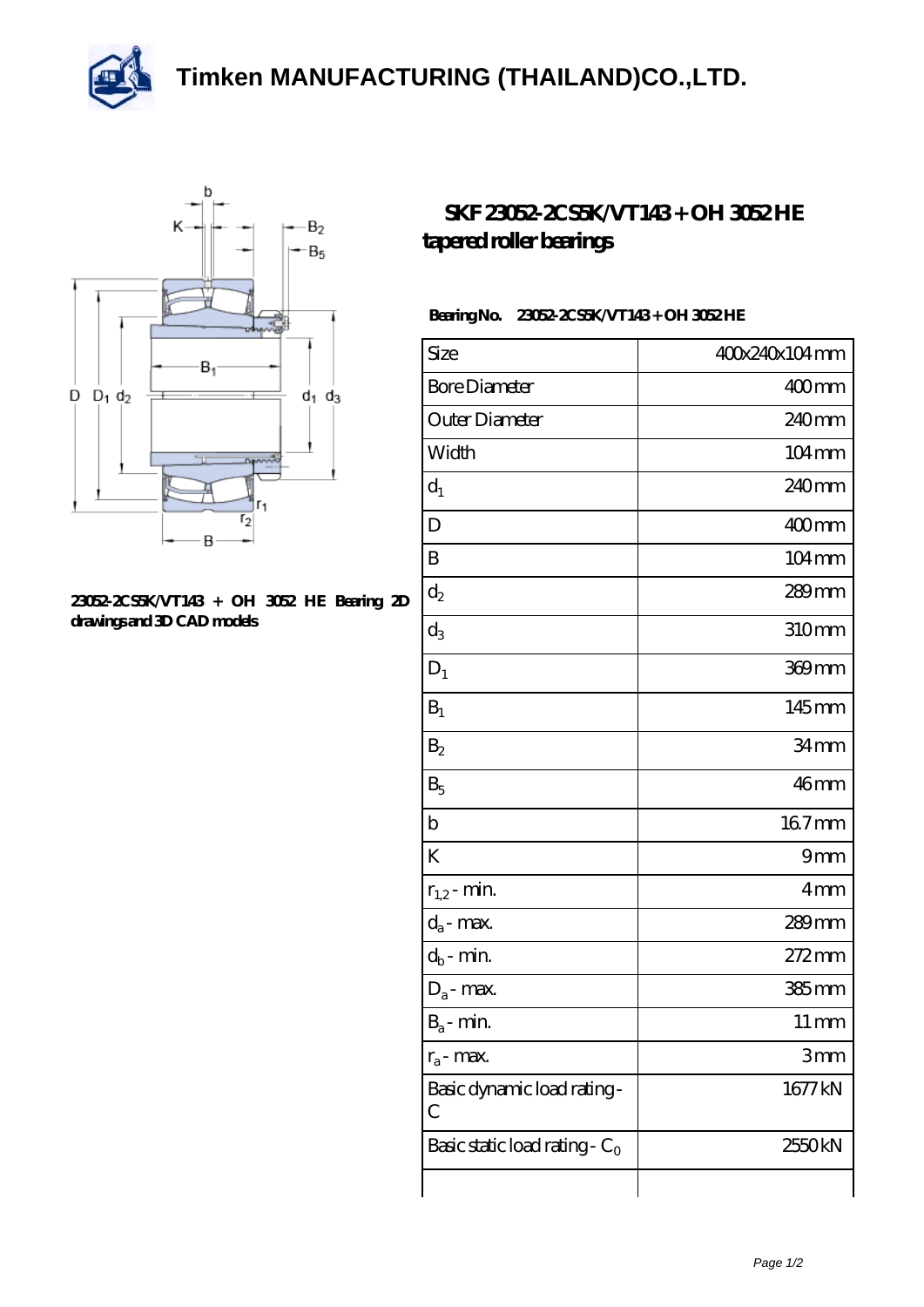



## **[23052-2CS5K/VT143 + OH 3052 HE Bearing 2D](https://m.thereclaimer.net/pic-65136365.html) [drawings and 3D CAD models](https://m.thereclaimer.net/pic-65136365.html)**

## **SKF 23052-2CS5K/VT143+ OH 3052HE [tapered roller bearings](https://m.thereclaimer.net/skf-23052-2cs5k-vt143-oh-3052-he-bearing/)**

## **Bearing No. 23052-2CS5K/VT143 + OH 3052 HE**

| Size                             | 400x240x104mm       |
|----------------------------------|---------------------|
| <b>Bore Diameter</b>             | 400mm               |
| Outer Diameter                   | 240 <sub>mm</sub>   |
| Width                            | 104mm               |
| $d_1$                            | 240mm               |
| D                                | 400mm               |
| $\boldsymbol{B}$                 | $104 \,\mathrm{mm}$ |
| $\mathrm{d}_2$                   | $289$ mm            |
| $\mathrm{d}_3$                   | 310mm               |
| $D_1$                            | 369mm               |
| $B_1$                            | 145mm               |
| B <sub>2</sub>                   | 34mm                |
| $B_5$                            | 46mm                |
| $\mathbf b$                      | 167mm               |
| K                                | 9mm                 |
| $r_{1,2}$ - min.                 | 4mm                 |
| $d_a$ - max.                     | $289$ mm            |
| $d_b$ - min.                     | 272mm               |
| $D_a$ - max.                     | $385$ mm            |
| $B_a$ - min.                     | $11 \,\mathrm{mm}$  |
| $r_a$ - max.                     | 3mm                 |
| Basic dynamic load rating-<br>С  | 1677 kN             |
| Basic static load rating - $C_0$ | 2550kN              |
|                                  |                     |